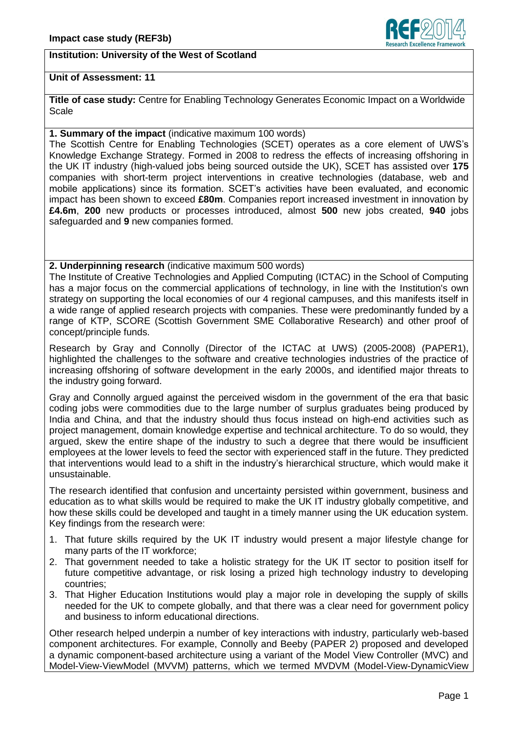

### **Institution: University of the West of Scotland**

### **Unit of Assessment: 11**

**Title of case study:** Centre for Enabling Technology Generates Economic Impact on a Worldwide **Scale** 

### **1. Summary of the impact** (indicative maximum 100 words)

The Scottish Centre for Enabling Technologies (SCET) operates as a core element of UWS's Knowledge Exchange Strategy. Formed in 2008 to redress the effects of increasing offshoring in the UK IT industry (high-valued jobs being sourced outside the UK), SCET has assisted over **175** companies with short-term project interventions in creative technologies (database, web and mobile applications) since its formation. SCET's activities have been evaluated, and economic impact has been shown to exceed **£80m**. Companies report increased investment in innovation by **£4.6m**, **200** new products or processes introduced, almost **500** new jobs created, **940** jobs safeguarded and **9** new companies formed.

#### **2. Underpinning research** (indicative maximum 500 words)

The Institute of Creative Technologies and Applied Computing (ICTAC) in the School of Computing has a major focus on the commercial applications of technology, in line with the Institution's own strategy on supporting the local economies of our 4 regional campuses, and this manifests itself in a wide range of applied research projects with companies. These were predominantly funded by a range of KTP, SCORE (Scottish Government SME Collaborative Research) and other proof of concept/principle funds.

Research by Gray and Connolly (Director of the ICTAC at UWS) (2005-2008) (PAPER1), highlighted the challenges to the software and creative technologies industries of the practice of increasing offshoring of software development in the early 2000s, and identified major threats to the industry going forward.

Gray and Connolly argued against the perceived wisdom in the government of the era that basic coding jobs were commodities due to the large number of surplus graduates being produced by India and China, and that the industry should thus focus instead on high-end activities such as project management, domain knowledge expertise and technical architecture. To do so would, they argued, skew the entire shape of the industry to such a degree that there would be insufficient employees at the lower levels to feed the sector with experienced staff in the future. They predicted that interventions would lead to a shift in the industry's hierarchical structure, which would make it unsustainable.

The research identified that confusion and uncertainty persisted within government, business and education as to what skills would be required to make the UK IT industry globally competitive, and how these skills could be developed and taught in a timely manner using the UK education system. Key findings from the research were:

- 1. That future skills required by the UK IT industry would present a major lifestyle change for many parts of the IT workforce;
- 2. That government needed to take a holistic strategy for the UK IT sector to position itself for future competitive advantage, or risk losing a prized high technology industry to developing countries;
- 3. That Higher Education Institutions would play a major role in developing the supply of skills needed for the UK to compete globally, and that there was a clear need for government policy and business to inform educational directions.

Other research helped underpin a number of key interactions with industry, particularly web-based component architectures. For example, Connolly and Beeby (PAPER 2) proposed and developed a dynamic component-based architecture using a variant of the Model View Controller (MVC) and Model-View-ViewModel (MVVM) patterns, which we termed MVDVM (Model-View-DynamicView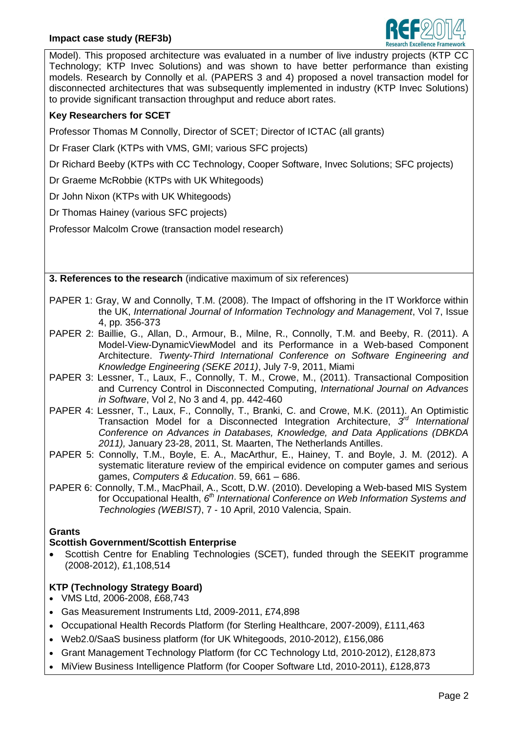### **Impact case study (REF3b)**



Model). This proposed architecture was evaluated in a number of live industry projects (KTP CC Technology; KTP Invec Solutions) and was shown to have better performance than existing models. Research by Connolly et al. (PAPERS 3 and 4) proposed a novel transaction model for disconnected architectures that was subsequently implemented in industry (KTP Invec Solutions) to provide significant transaction throughput and reduce abort rates.

# **Key Researchers for SCET**

Professor Thomas M Connolly, Director of SCET; Director of ICTAC (all grants)

- Dr Fraser Clark (KTPs with VMS, GMI; various SFC projects)
- Dr Richard Beeby (KTPs with CC Technology, Cooper Software, Invec Solutions; SFC projects)
- Dr Graeme McRobbie (KTPs with UK Whitegoods)
- Dr John Nixon (KTPs with UK Whitegoods)
- Dr Thomas Hainey (various SFC projects)

Professor Malcolm Crowe (transaction model research)

**3. References to the research** (indicative maximum of six references)

- PAPER 1: Gray, W and Connolly, T.M. (2008). The Impact of offshoring in the IT Workforce within the UK, *International Journal of Information Technology and Management*, Vol 7, Issue 4, pp. 356-373
- PAPER 2: Baillie, G., Allan, D., Armour, B., Milne, R., Connolly, T.M. and Beeby, R. (2011). A Model-View-DynamicViewModel and its Performance in a Web-based Component Architecture. *Twenty-Third International Conference on Software Engineering and Knowledge Engineering (SEKE 2011)*, July 7-9, 2011, Miami
- PAPER 3: Lessner, T., Laux, F., Connolly, T. M., Crowe, M., (2011). Transactional Composition and Currency Control in Disconnected Computing, *International Journal on Advances in Software*, Vol 2, No 3 and 4, pp. 442-460
- PAPER 4: Lessner, T., Laux, F., Connolly, T., Branki, C. and Crowe, M.K. (2011). An Optimistic Transaction Model for a Disconnected Integration Architecture, 3<sup>rd</sup> International *Conference on Advances in Databases, Knowledge, and Data Applications (DBKDA 2011),* January 23-28, 2011, St. Maarten, The Netherlands Antilles.
- PAPER 5: Connolly, T.M., Boyle, E. A., MacArthur, E., Hainey, T. and Boyle, J. M. (2012). A systematic literature review of the empirical evidence on computer games and serious games, *Computers & Education*. 59, 661 – 686.
- PAPER 6: Connolly, T.M., MacPhail, A., Scott, D.W. (2010). Developing a Web-based MIS System for Occupational Health, 6<sup>th</sup> International Conference on Web Information Systems and *Technologies (WEBIST)*, 7 - 10 April, 2010 Valencia, Spain.

### **Grants**

## **Scottish Government/Scottish Enterprise**

 Scottish Centre for Enabling Technologies (SCET), funded through the SEEKIT programme (2008-2012), £1,108,514

# **KTP (Technology Strategy Board)**

- VMS Ltd, 2006-2008, £68,743
- Gas Measurement Instruments Ltd, 2009-2011, £74,898
- Occupational Health Records Platform (for Sterling Healthcare, 2007-2009), £111,463
- Web2.0/SaaS business platform (for UK Whitegoods, 2010-2012), £156,086
- [Grant Management Technology Platform](http://icte.uws.ac.uk/projects/ktp/ktp_cctech.html) (for [CC Technology Ltd,](http://www.cctechnology.co.uk/) 2010-2012), £128,873
- [MiView Business Intelligence Platform](http://icte.uws.ac.uk/projects/ktp/ktp_cooper.html) (for [Cooper Software Ltd,](http://www.coopersoftware.co.uk/) 2010-2011), £128,873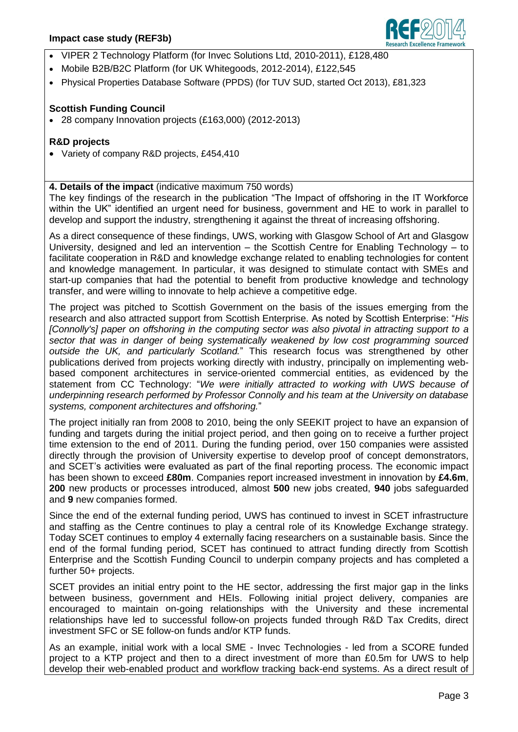### **Impact case study (REF3b)**



- [VIPER 2 Technology Platform](http://icte.uws.ac.uk/projects/ktp/ktp_invec.html) (for [Invec Solutions Ltd,](http://www.invec.co.uk/) 2010-2011), £128,480
- Mobile B2B/B2C Platform (for UK Whitegoods, 2012-2014), £122,545
- Physical Properties Database Software (PPDS) (for TUV SUD, started Oct 2013), £81,323

### **Scottish Funding Council**

28 company Innovation projects (£163,000) (2012-2013)

### **R&D projects**

Variety of company R&D projects, £454,410

### **4. Details of the impact** (indicative maximum 750 words)

The key findings of the research in the publication "The Impact of offshoring in the IT Workforce within the UK" identified an urgent need for business, government and HE to work in parallel to develop and support the industry, strengthening it against the threat of increasing offshoring.

As a direct consequence of these findings, UWS, working with Glasgow School of Art and Glasgow University, designed and led an intervention – the Scottish Centre for Enabling Technology – to facilitate cooperation in R&D and knowledge exchange related to enabling technologies for content and knowledge management. In particular, it was designed to stimulate contact with SMEs and start-up companies that had the potential to benefit from productive knowledge and technology transfer, and were willing to innovate to help achieve a competitive edge.

The project was pitched to Scottish Government on the basis of the issues emerging from the research and also attracted support from Scottish Enterprise. As noted by Scottish Enterprise: "*His [Connolly's] paper on offshoring in the computing sector was also pivotal in attracting support to a sector that was in danger of being systematically weakened by low cost programming sourced outside the UK, and particularly Scotland.*" This research focus was strengthened by other publications derived from projects working directly with industry, principally on implementing webbased component architectures in service-oriented commercial entities, as evidenced by the statement from CC Technology: "*We were initially attracted to working with UWS because of underpinning research performed by Professor Connolly and his team at the University on database systems, component architectures and offshoring.*"

The project initially ran from 2008 to 2010, being the only SEEKIT project to have an expansion of funding and targets during the initial project period, and then going on to receive a further project time extension to the end of 2011. During the funding period, over 150 companies were assisted directly through the provision of University expertise to develop proof of concept demonstrators, and SCET's activities were evaluated as part of the final reporting process. The economic impact has been shown to exceed **£80m**. Companies report increased investment in innovation by **£4.6m**, **200** new products or processes introduced, almost **500** new jobs created, **940** jobs safeguarded and **9** new companies formed.

Since the end of the external funding period, UWS has continued to invest in SCET infrastructure and staffing as the Centre continues to play a central role of its Knowledge Exchange strategy. Today SCET continues to employ 4 externally facing researchers on a sustainable basis. Since the end of the formal funding period, SCET has continued to attract funding directly from Scottish Enterprise and the Scottish Funding Council to underpin company projects and has completed a further 50+ projects.

SCET provides an initial entry point to the HE sector, addressing the first major gap in the links between business, government and HEIs. Following initial project delivery, companies are encouraged to maintain on-going relationships with the University and these incremental relationships have led to successful follow-on projects funded through R&D Tax Credits, direct investment SFC or SE follow-on funds and/or KTP funds.

As an example, initial work with a local SME - Invec Technologies - led from a SCORE funded project to a KTP project and then to a direct investment of more than £0.5m for UWS to help develop their web-enabled product and workflow tracking back-end systems. As a direct result of